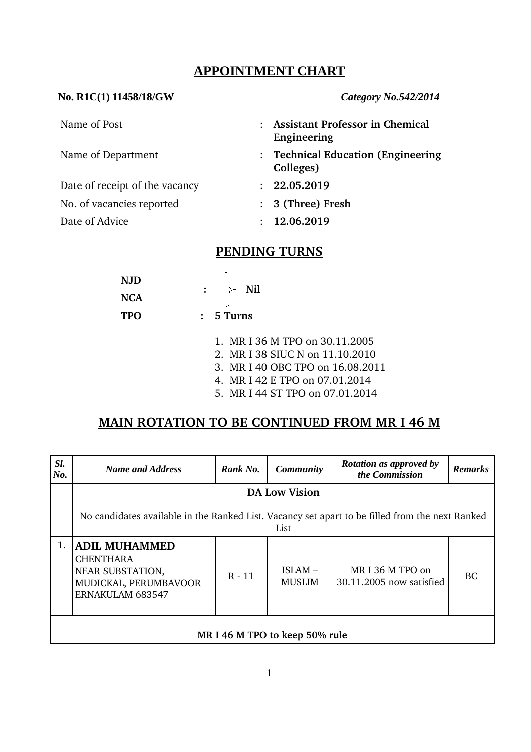#### **APPOINTMENT CHART**

#### **No. R1C(1) 11458/18/GW** *Category No.542/2014*

| <b>Assistant Professor in Chemical</b><br>Engineering |
|-------------------------------------------------------|
| : Technical Education (Engineering<br>Colleges)       |
| : 22.05.2019                                          |
| : 3 (Three) Fresh                                     |
| : 12.06.2019                                          |
|                                                       |

## **PENDING TURNS**

| <b>NJD</b> | Nil     |
|------------|---------|
| <b>NCA</b> |         |
| <b>TPO</b> | 5 Turns |

- 1. MR I 36 M TPO on 30.11.2005
- 2. MR I 38 SIUC N on 11.10.2010
- 3. MR I 40 OBC TPO on 16.08.2011
- 4. MR I 42 E TPO on 07.01.2014
- 5. MR I 44 ST TPO on 07.01.2014

### **MAIN ROTATION TO BE CONTINUED FROM MR I 46 M**

| SI.<br>No. | <b>Name and Address</b>                                                                                          | Rank No. | <b>Community</b>           | <b>Rotation as approved by</b><br>the Commission | <b>Remarks</b> |  |  |
|------------|------------------------------------------------------------------------------------------------------------------|----------|----------------------------|--------------------------------------------------|----------------|--|--|
|            | <b>DA Low Vision</b>                                                                                             |          |                            |                                                  |                |  |  |
|            | No candidates available in the Ranked List. Vacancy set apart to be filled from the next Ranked<br>List          |          |                            |                                                  |                |  |  |
|            | <b>ADIL MUHAMMED</b><br><b>CHENTHARA</b><br>NEAR SUBSTATION,<br>MUDICKAL, PERUMBAVOOR<br><b>ERNAKULAM 683547</b> | $R - 11$ | $ISLAM -$<br><b>MUSLIM</b> | MRI 36 M TPO on<br>30.11.2005 now satisfied      | BC.            |  |  |
|            | MR I 46 M TPO to keep 50% rule                                                                                   |          |                            |                                                  |                |  |  |